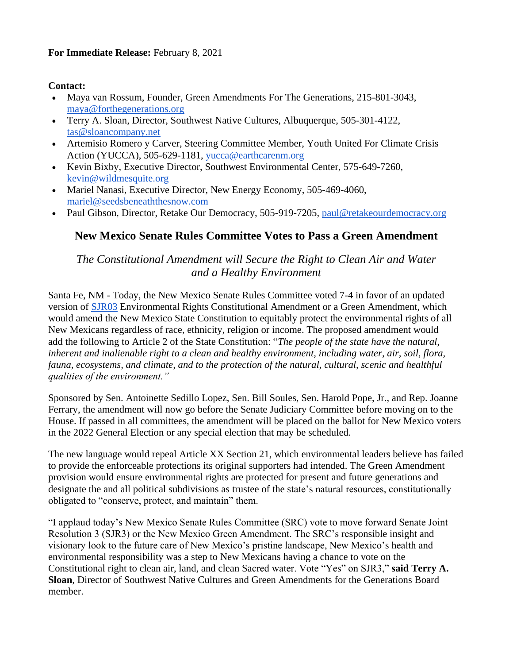## **For Immediate Release:** February 8, 2021

## **Contact:**

- Maya van Rossum, Founder, Green Amendments For The Generations, 215-801-3043, [maya@forthegenerations.org](mailto:maya@forthegenerations.org)
- Terry A. Sloan, Director, Southwest Native Cultures, Albuquerque, 505-301-4122, [tas@sloancompany.net](mailto:tas@sloancompany.net)
- Artemisio Romero y Carver, Steering Committee Member, Youth United For Climate Crisis Action (YUCCA), 505-629-1181, [yucca@earthcarenm.org](mailto:yucca@earthcarenm.org)
- Kevin Bixby, Executive Director, Southwest Environmental Center, 575-649-7260, [kevin@wildmesquite.org](mailto:kevin@wildmesquite.org)
- Mariel Nanasi, Executive Director, New Energy Economy, 505-469-4060, [mariel@seedsbeneaththesnow.com](mailto:mariel@seedsbeneaththesnow.com)
- Paul Gibson, Director, Retake Our Democracy, 505-919-7205, [paul@retakeourdemocracy.org](mailto:paul@retakeourdemocracy.org)

## **New Mexico Senate Rules Committee Votes to Pass a Green Amendment**

## *The Constitutional Amendment will Secure the Right to Clean Air and Water and a Healthy Environment*

Santa Fe, NM - Today, the New Mexico Senate Rules Committee voted 7-4 in favor of an updated version of [SJR03](https://www.nmlegis.gov/Sessions/21%20Regular/resolutions/senate/SJR03.pdf) Environmental Rights Constitutional Amendment or a Green Amendment, which would amend the New Mexico State Constitution to equitably protect the environmental rights of all New Mexicans regardless of race, ethnicity, religion or income. The proposed amendment would add the following to Article 2 of the State Constitution: "*The people of the state have the natural, inherent and inalienable right to a clean and healthy environment, including water, air, soil, flora, fauna, ecosystems, and climate, and to the protection of the natural, cultural, scenic and healthful qualities of the environment."*

Sponsored by Sen. Antoinette Sedillo Lopez, Sen. Bill Soules, Sen. Harold Pope, Jr., and Rep. Joanne Ferrary, the amendment will now go before the Senate Judiciary Committee before moving on to the House. If passed in all committees, the amendment will be placed on the ballot for New Mexico voters in the 2022 General Election or any special election that may be scheduled.

The new language would repeal Article XX Section 21, which environmental leaders believe has failed to provide the enforceable protections its original supporters had intended. The Green Amendment provision would ensure environmental rights are protected for present and future generations and designate the and all political subdivisions as trustee of the state's natural resources, constitutionally obligated to "conserve, protect, and maintain" them.

"I applaud today's New Mexico Senate Rules Committee (SRC) vote to move forward Senate Joint Resolution 3 (SJR3) or the New Mexico Green Amendment. The SRC's responsible insight and visionary look to the future care of New Mexico's pristine landscape, New Mexico's health and environmental responsibility was a step to New Mexicans having a chance to vote on the Constitutional right to clean air, land, and clean Sacred water. Vote "Yes" on SJR3," **said Terry A. Sloan**, Director of Southwest Native Cultures and Green Amendments for the Generations Board member.